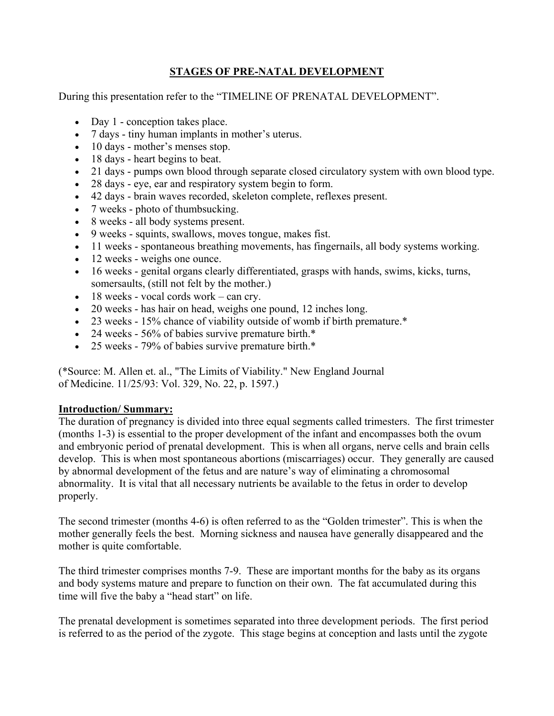# **STAGES OF PRE-NATAL DEVELOPMENT**

During this presentation refer to the "TIMELINE OF PRENATAL DEVELOPMENT".

- Day 1 conception takes place.
- 7 days tiny human implants in mother's uterus.
- 10 days mother's menses stop.
- 18 days heart begins to beat.
- 21 days pumps own blood through separate closed circulatory system with own blood type.
- 28 days eye, ear and respiratory system begin to form.
- 42 days brain waves recorded, skeleton complete, reflexes present.
- 7 weeks photo of thumbsucking.
- 8 weeks all body systems present.
- 9 weeks squints, swallows, moves tongue, makes fist.
- 11 weeks spontaneous breathing movements, has fingernails, all body systems working.
- 12 weeks weighs one ounce.
- 16 weeks genital organs clearly differentiated, grasps with hands, swims, kicks, turns, somersaults, (still not felt by the mother.)
- 18 weeks vocal cords work can cry.
- 20 weeks has hair on head, weighs one pound, 12 inches long.
- 23 weeks 15% chance of viability outside of womb if birth premature.\*
- 24 weeks 56% of babies survive premature birth.\*
- 25 weeks 79% of babies survive premature birth.\*

(\*Source: M. Allen et. al., "The Limits of Viability." New England Journal of Medicine. 11/25/93: Vol. 329, No. 22, p. 1597.)

### **Introduction/ Summary:**

The duration of pregnancy is divided into three equal segments called trimesters. The first trimester (months 1-3) is essential to the proper development of the infant and encompasses both the ovum and embryonic period of prenatal development. This is when all organs, nerve cells and brain cells develop. This is when most spontaneous abortions (miscarriages) occur. They generally are caused by abnormal development of the fetus and are nature's way of eliminating a chromosomal abnormality. It is vital that all necessary nutrients be available to the fetus in order to develop properly.

The second trimester (months 4-6) is often referred to as the "Golden trimester". This is when the mother generally feels the best. Morning sickness and nausea have generally disappeared and the mother is quite comfortable.

The third trimester comprises months 7-9. These are important months for the baby as its organs and body systems mature and prepare to function on their own. The fat accumulated during this time will five the baby a "head start" on life.

The prenatal development is sometimes separated into three development periods. The first period is referred to as the period of the zygote. This stage begins at conception and lasts until the zygote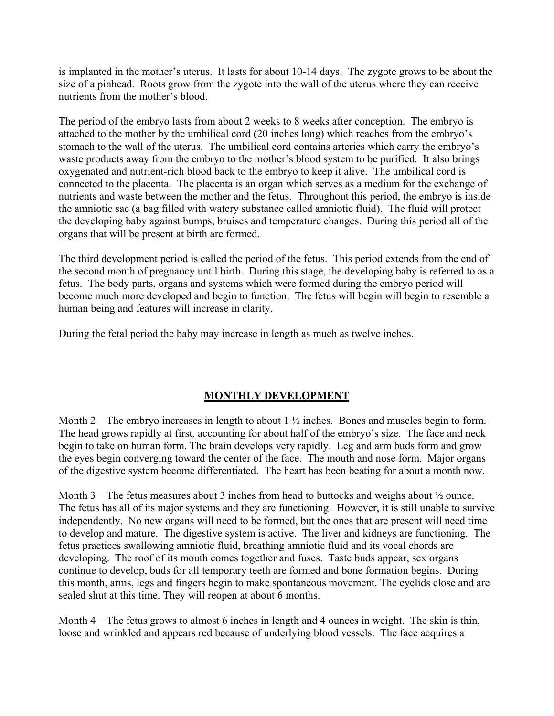is implanted in the mother's uterus. It lasts for about 10-14 days. The zygote grows to be about the size of a pinhead. Roots grow from the zygote into the wall of the uterus where they can receive nutrients from the mother's blood.

The period of the embryo lasts from about 2 weeks to 8 weeks after conception. The embryo is attached to the mother by the umbilical cord (20 inches long) which reaches from the embryo's stomach to the wall of the uterus. The umbilical cord contains arteries which carry the embryo's waste products away from the embryo to the mother's blood system to be purified. It also brings oxygenated and nutrient-rich blood back to the embryo to keep it alive. The umbilical cord is connected to the placenta. The placenta is an organ which serves as a medium for the exchange of nutrients and waste between the mother and the fetus. Throughout this period, the embryo is inside the amniotic sac (a bag filled with watery substance called amniotic fluid). The fluid will protect the developing baby against bumps, bruises and temperature changes. During this period all of the organs that will be present at birth are formed.

The third development period is called the period of the fetus. This period extends from the end of the second month of pregnancy until birth. During this stage, the developing baby is referred to as a fetus. The body parts, organs and systems which were formed during the embryo period will become much more developed and begin to function. The fetus will begin will begin to resemble a human being and features will increase in clarity.

During the fetal period the baby may increase in length as much as twelve inches.

# **MONTHLY DEVELOPMENT**

Month 2 – The embryo increases in length to about  $1\frac{1}{2}$  inches. Bones and muscles begin to form. The head grows rapidly at first, accounting for about half of the embryo's size. The face and neck begin to take on human form. The brain develops very rapidly. Leg and arm buds form and grow the eyes begin converging toward the center of the face. The mouth and nose form. Major organs of the digestive system become differentiated. The heart has been beating for about a month now.

Month  $3$  – The fetus measures about 3 inches from head to buttocks and weighs about  $\frac{1}{2}$  ounce. The fetus has all of its major systems and they are functioning. However, it is still unable to survive independently. No new organs will need to be formed, but the ones that are present will need time to develop and mature. The digestive system is active. The liver and kidneys are functioning. The fetus practices swallowing amniotic fluid, breathing amniotic fluid and its vocal chords are developing. The roof of its mouth comes together and fuses. Taste buds appear, sex organs continue to develop, buds for all temporary teeth are formed and bone formation begins. During this month, arms, legs and fingers begin to make spontaneous movement. The eyelids close and are sealed shut at this time. They will reopen at about 6 months.

Month 4 – The fetus grows to almost 6 inches in length and 4 ounces in weight. The skin is thin, loose and wrinkled and appears red because of underlying blood vessels. The face acquires a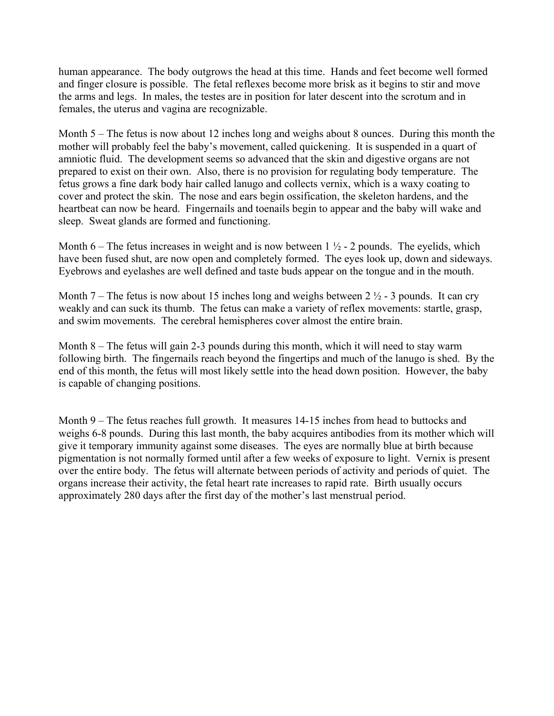human appearance. The body outgrows the head at this time. Hands and feet become well formed and finger closure is possible. The fetal reflexes become more brisk as it begins to stir and move the arms and legs. In males, the testes are in position for later descent into the scrotum and in females, the uterus and vagina are recognizable.

Month 5 – The fetus is now about 12 inches long and weighs about 8 ounces. During this month the mother will probably feel the baby's movement, called quickening. It is suspended in a quart of amniotic fluid. The development seems so advanced that the skin and digestive organs are not prepared to exist on their own. Also, there is no provision for regulating body temperature. The fetus grows a fine dark body hair called lanugo and collects vernix, which is a waxy coating to cover and protect the skin. The nose and ears begin ossification, the skeleton hardens, and the heartbeat can now be heard. Fingernails and toenails begin to appear and the baby will wake and sleep. Sweat glands are formed and functioning.

Month 6 – The fetus increases in weight and is now between  $1\frac{1}{2}$  - 2 pounds. The eyelids, which have been fused shut, are now open and completely formed. The eyes look up, down and sideways. Eyebrows and eyelashes are well defined and taste buds appear on the tongue and in the mouth.

Month 7 – The fetus is now about 15 inches long and weighs between 2  $\frac{1}{2}$  - 3 pounds. It can cry weakly and can suck its thumb. The fetus can make a variety of reflex movements: startle, grasp, and swim movements. The cerebral hemispheres cover almost the entire brain.

Month 8 – The fetus will gain 2-3 pounds during this month, which it will need to stay warm following birth. The fingernails reach beyond the fingertips and much of the lanugo is shed. By the end of this month, the fetus will most likely settle into the head down position. However, the baby is capable of changing positions.

Month 9 – The fetus reaches full growth. It measures 14-15 inches from head to buttocks and weighs 6-8 pounds. During this last month, the baby acquires antibodies from its mother which will give it temporary immunity against some diseases. The eyes are normally blue at birth because pigmentation is not normally formed until after a few weeks of exposure to light. Vernix is present over the entire body. The fetus will alternate between periods of activity and periods of quiet. The organs increase their activity, the fetal heart rate increases to rapid rate. Birth usually occurs approximately 280 days after the first day of the mother's last menstrual period.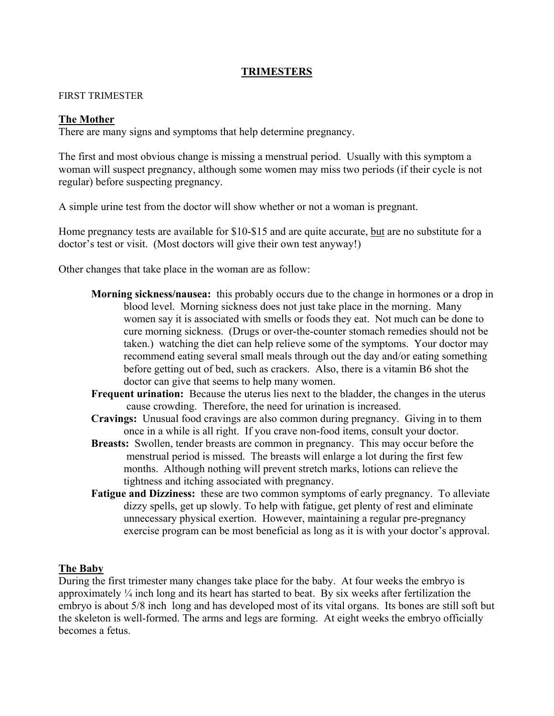### **TRIMESTERS**

#### FIRST TRIMESTER

#### **The Mother**

There are many signs and symptoms that help determine pregnancy.

The first and most obvious change is missing a menstrual period. Usually with this symptom a woman will suspect pregnancy, although some women may miss two periods (if their cycle is not regular) before suspecting pregnancy.

A simple urine test from the doctor will show whether or not a woman is pregnant.

Home pregnancy tests are available for \$10-\$15 and are quite accurate, but are no substitute for a doctor's test or visit. (Most doctors will give their own test anyway!)

Other changes that take place in the woman are as follow:

- **Morning sickness/nausea:** this probably occurs due to the change in hormones or a drop in blood level. Morning sickness does not just take place in the morning. Many women say it is associated with smells or foods they eat. Not much can be done to cure morning sickness. (Drugs or over-the-counter stomach remedies should not be taken.) watching the diet can help relieve some of the symptoms. Your doctor may recommend eating several small meals through out the day and/or eating something before getting out of bed, such as crackers. Also, there is a vitamin B6 shot the doctor can give that seems to help many women.
- **Frequent urination:** Because the uterus lies next to the bladder, the changes in the uterus cause crowding. Therefore, the need for urination is increased.
- **Cravings:** Unusual food cravings are also common during pregnancy. Giving in to them once in a while is all right. If you crave non-food items, consult your doctor.
- **Breasts:** Swollen, tender breasts are common in pregnancy. This may occur before the menstrual period is missed. The breasts will enlarge a lot during the first few months. Although nothing will prevent stretch marks, lotions can relieve the tightness and itching associated with pregnancy.
- **Fatigue and Dizziness:** these are two common symptoms of early pregnancy. To alleviate dizzy spells, get up slowly. To help with fatigue, get plenty of rest and eliminate unnecessary physical exertion. However, maintaining a regular pre-pregnancy exercise program can be most beneficial as long as it is with your doctor's approval.

### **The Baby**

During the first trimester many changes take place for the baby. At four weeks the embryo is approximately ¼ inch long and its heart has started to beat. By six weeks after fertilization the embryo is about 5/8 inch long and has developed most of its vital organs. Its bones are still soft but the skeleton is well-formed. The arms and legs are forming. At eight weeks the embryo officially becomes a fetus.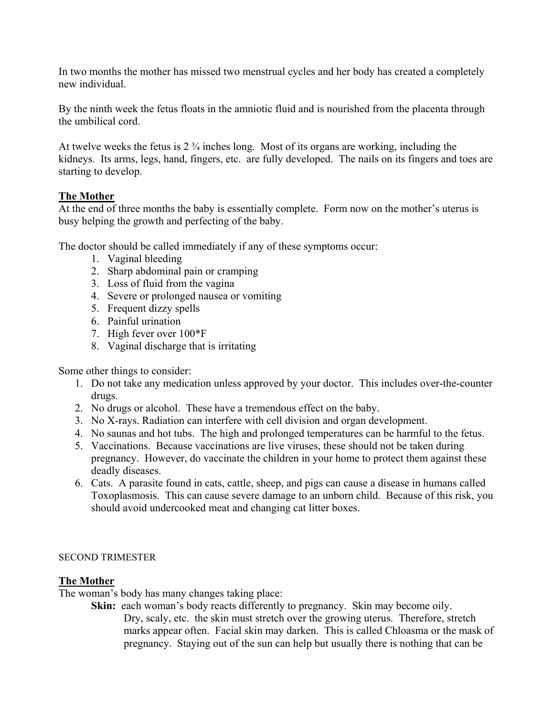In two months the mother has missed two menstrual cycles and her body has created a completely new individual.

By the ninth week the fetus floats in the amniotic fluid and is nourished from the placenta through the umbilical cord.

At twelve weeks the fetus is 2 ¾ inches long. Most of its organs are working, including the kidneys. Its arms, legs, hand, fingers, etc. are fully developed. The nails on its fingers and toes are starting to develop.

### **The Mother**

At the end of three months the baby is essentially complete. Form now on the mother's uterus is busy helping the growth and perfecting of the baby.

The doctor should be called immediately if any of these symptoms occur:

- 1. Vaginal bleeding
- 2. Sharp abdominal pain or cramping
- 3. Loss of fluid from the vagina
- 4. Severe or prolonged nausea or vomiting
- 5. Frequent dizzy spells
- 6. Painful urination
- 7. High fever over 100\*F
- 8. Vaginal discharge that is irritating

Some other things to consider:

- 1. Do not take any medication unless approved by your doctor. This includes over-the-counter drugs.
- 2. No drugs or alcohol. These have a tremendous effect on the baby.
- 3. No X-rays. Radiation can interfere with cell division and organ development.
- 4. No saunas and hot tubs. The high and prolonged temperatures can be harmful to the fetus.
- 5. Vaccinations. Because vaccinations are live viruses, these should not be taken during pregnancy. However, do vaccinate the children in your home to protect them against these deadly diseases.
- 6. Cats. A parasite found in cats, cattle, sheep, and pigs can cause a disease in humans called Toxoplasmosis. This can cause severe damage to an unborn child. Because of this risk, you should avoid undercooked meat and changing cat litter boxes.

### SECOND TRIMESTER

### **The Mother**

The woman's body has many changes taking place:

**Skin:** each woman's body reacts differently to pregnancy. Skin may become oily. Dry, scaly, etc. the skin must stretch over the growing uterus. Therefore, stretch marks appear often. Facial skin may darken. This is called Chloasma or the mask of pregnancy. Staying out of the sun can help but usually there is nothing that can be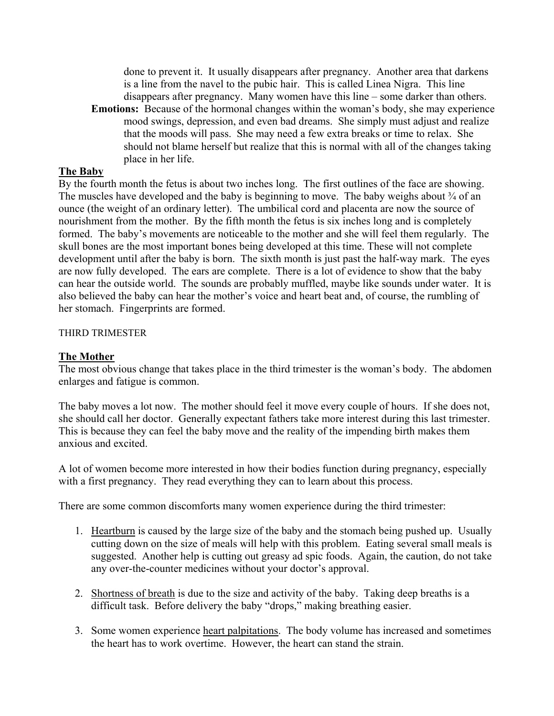done to prevent it. It usually disappears after pregnancy. Another area that darkens is a line from the navel to the pubic hair. This is called Linea Nigra. This line disappears after pregnancy. Many women have this line – some darker than others.

**Emotions:** Because of the hormonal changes within the woman's body, she may experience mood swings, depression, and even bad dreams. She simply must adjust and realize that the moods will pass. She may need a few extra breaks or time to relax. She should not blame herself but realize that this is normal with all of the changes taking place in her life.

### **The Baby**

By the fourth month the fetus is about two inches long. The first outlines of the face are showing. The muscles have developed and the baby is beginning to move. The baby weighs about  $\frac{3}{4}$  of an ounce (the weight of an ordinary letter). The umbilical cord and placenta are now the source of nourishment from the mother. By the fifth month the fetus is six inches long and is completely formed. The baby's movements are noticeable to the mother and she will feel them regularly. The skull bones are the most important bones being developed at this time. These will not complete development until after the baby is born. The sixth month is just past the half-way mark. The eyes are now fully developed. The ears are complete. There is a lot of evidence to show that the baby can hear the outside world. The sounds are probably muffled, maybe like sounds under water. It is also believed the baby can hear the mother's voice and heart beat and, of course, the rumbling of her stomach. Fingerprints are formed.

#### THIRD TRIMESTER

#### **The Mother**

The most obvious change that takes place in the third trimester is the woman's body. The abdomen enlarges and fatigue is common.

The baby moves a lot now. The mother should feel it move every couple of hours. If she does not, she should call her doctor. Generally expectant fathers take more interest during this last trimester. This is because they can feel the baby move and the reality of the impending birth makes them anxious and excited.

A lot of women become more interested in how their bodies function during pregnancy, especially with a first pregnancy. They read everything they can to learn about this process.

There are some common discomforts many women experience during the third trimester:

- 1. Heartburn is caused by the large size of the baby and the stomach being pushed up. Usually cutting down on the size of meals will help with this problem. Eating several small meals is suggested. Another help is cutting out greasy ad spic foods. Again, the caution, do not take any over-the-counter medicines without your doctor's approval.
- 2. Shortness of breath is due to the size and activity of the baby. Taking deep breaths is a difficult task. Before delivery the baby "drops," making breathing easier.
- 3. Some women experience heart palpitations. The body volume has increased and sometimes the heart has to work overtime. However, the heart can stand the strain.